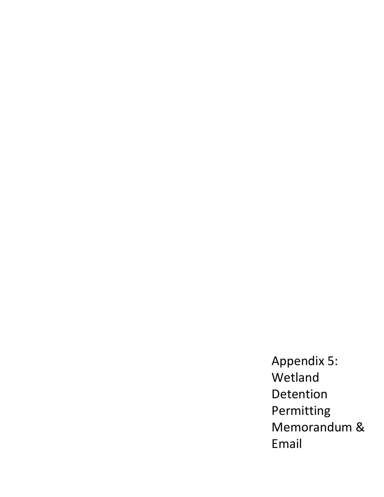Appendix 5: Wetland Detention Permitting Memorandum & Email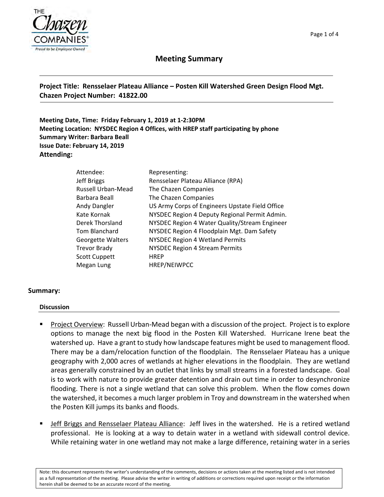



# **Meeting Summary**

### **Project Title: Rensselaer Plateau Alliance – Posten Kill Watershed Green Design Flood Mgt. Chazen Project Number: 41822.00**

**Meeting Date, Time: Friday February 1, 2019 at 1‐2:30PM Meeting Location: NYSDEC Region 4 Offices, with HREP staff participating by phone Summary Writer: Barbara Beall Issue Date: February 14, 2019 Attending:** 

| Representing:                                   |
|-------------------------------------------------|
| Rensselaer Plateau Alliance (RPA)               |
| The Chazen Companies                            |
| The Chazen Companies                            |
| US Army Corps of Engineers Upstate Field Office |
| NYSDEC Region 4 Deputy Regional Permit Admin.   |
| NYSDEC Region 4 Water Quality/Stream Engineer   |
| NYSDEC Region 4 Floodplain Mgt. Dam Safety      |
| <b>NYSDEC Region 4 Wetland Permits</b>          |
| <b>NYSDEC Region 4 Stream Permits</b>           |
| <b>HREP</b>                                     |
| HREP/NEIWPCC                                    |
|                                                 |

#### **Summary:**

#### **Discussion**

- Project Overview: Russell Urban-Mead began with a discussion of the project. Project is to explore options to manage the next big flood in the Posten Kill Watershed. Hurricane Irene beat the watershed up. Have a grant to study how landscape features might be used to management flood. There may be a dam/relocation function of the floodplain. The Rensselaer Plateau has a unique geography with 2,000 acres of wetlands at higher elevations in the floodplain. They are wetland areas generally constrained by an outlet that links by small streams in a forested landscape. Goal is to work with nature to provide greater detention and drain out time in order to desynchronize flooding. There is not a single wetland that can solve this problem. When the flow comes down the watershed, it becomes a much larger problem in Troy and downstream in the watershed when the Posten Kill jumps its banks and floods.
- Jeff Briggs and Rensselaer Plateau Alliance: Jeff lives in the watershed. He is a retired wetland professional. He is looking at a way to detain water in a wetland with sidewall control device. While retaining water in one wetland may not make a large difference, retaining water in a series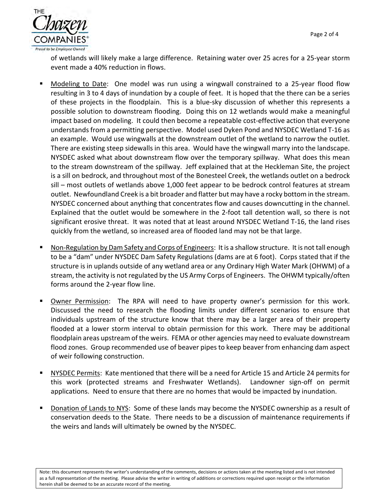

of wetlands will likely make a large difference. Retaining water over 25 acres for a 25‐year storm event made a 40% reduction in flows.

- Modeling to Date: One model was run using a wingwall constrained to a 25-year flood flow resulting in 3 to 4 days of inundation by a couple of feet. It is hoped that the there can be a series of these projects in the floodplain. This is a blue‐sky discussion of whether this represents a possible solution to downstream flooding. Doing this on 12 wetlands would make a meaningful impact based on modeling. It could then become a repeatable cost‐effective action that everyone understands from a permitting perspective. Model used Dyken Pond and NYSDEC Wetland T‐16 as an example. Would use wingwalls at the downstream outlet of the wetland to narrow the outlet. There are existing steep sidewalls in this area. Would have the wingwall marry into the landscape. NYSDEC asked what about downstream flow over the temporary spillway. What does this mean to the stream downstream of the spillway. Jeff explained that at the Heckleman Site, the project is a sill on bedrock, and throughout most of the Bonesteel Creek, the wetlands outlet on a bedrock sill – most outlets of wetlands above 1,000 feet appear to be bedrock control features at stream outlet. Newfoundland Creek is a bit broader and flatter but may have a rocky bottom in the stream. NYSDEC concerned about anything that concentrates flow and causes downcutting in the channel. Explained that the outlet would be somewhere in the 2‐foot tall detention wall, so there is not significant erosive threat. It was noted that at least around NYSDEC Wetland T‐16, the land rises quickly from the wetland, so increased area of flooded land may not be that large.
- Non‐Regulation by Dam Safety and Corps of Engineers: It is a shallow structure. It is not tall enough to be a "dam" under NYSDEC Dam Safety Regulations (dams are at 6 foot). Corps stated that if the structure is in uplands outside of any wetland area or any Ordinary High Water Mark (OHWM) of a stream, the activity is not regulated by the US Army Corps of Engineers. The OHWM typically/often forms around the 2‐year flow line.
- Owner Permission: The RPA will need to have property owner's permission for this work. Discussed the need to research the flooding limits under different scenarios to ensure that individuals upstream of the structure know that there may be a larger area of their property flooded at a lower storm interval to obtain permission for this work. There may be additional floodplain areas upstream of the weirs. FEMA or other agencies may need to evaluate downstream flood zones. Group recommended use of beaver pipes to keep beaver from enhancing dam aspect of weir following construction.
- NYSDEC Permits: Kate mentioned that there will be a need for Article 15 and Article 24 permits for this work (protected streams and Freshwater Wetlands). Landowner sign‐off on permit applications. Need to ensure that there are no homes that would be impacted by inundation.
- Donation of Lands to NYS: Some of these lands may become the NYSDEC ownership as a result of conservation deeds to the State. There needs to be a discussion of maintenance requirements if the weirs and lands will ultimately be owned by the NYSDEC.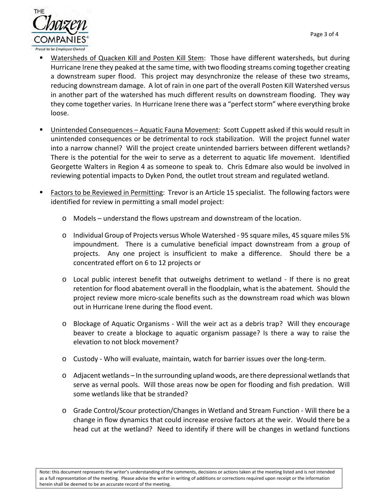

- Watersheds of Quacken Kill and Posten Kill Stem: Those have different watersheds, but during Hurricane Irene they peaked at the same time, with two flooding streams coming together creating a downstream super flood. This project may desynchronize the release of these two streams, reducing downstream damage. A lot of rain in one part of the overall Posten Kill Watershed versus in another part of the watershed has much different results on downstream flooding. They way they come together varies. In Hurricane Irene there was a "perfect storm" where everything broke loose.
- Unintended Consequences Aquatic Fauna Movement: Scott Cuppett asked if this would result in unintended consequences or be detrimental to rock stabilization. Will the project funnel water into a narrow channel? Will the project create unintended barriers between different wetlands? There is the potential for the weir to serve as a deterrent to aquatic life movement. Identified Georgette Walters in Region 4 as someone to speak to. Chris Edmare also would be involved in reviewing potential impacts to Dyken Pond, the outlet trout stream and regulated wetland.
- Factors to be Reviewed in Permitting: Trevor is an Article 15 specialist. The following factors were identified for review in permitting a small model project:
	- o Models understand the flows upstream and downstream of the location.
	- o Individual Group of Projects versus Whole Watershed ‐ 95 square miles, 45 square miles 5% impoundment. There is a cumulative beneficial impact downstream from a group of projects. Any one project is insufficient to make a difference. Should there be a concentrated effort on 6 to 12 projects or
	- $\circ$  Local public interest benefit that outweighs detriment to wetland If there is no great retention for flood abatement overall in the floodplain, what is the abatement. Should the project review more micro‐scale benefits such as the downstream road which was blown out in Hurricane Irene during the flood event.
	- o Blockage of Aquatic Organisms ‐ Will the weir act as a debris trap? Will they encourage beaver to create a blockage to aquatic organism passage? Is there a way to raise the elevation to not block movement?
	- o Custody ‐ Who will evaluate, maintain, watch for barrier issues over the long‐term.
	- o Adjacent wetlands In the surrounding upland woods, are there depressional wetlands that serve as vernal pools. Will those areas now be open for flooding and fish predation. Will some wetlands like that be stranded?
	- o Grade Control/Scour protection/Changes in Wetland and Stream Function ‐ Will there be a change in flow dynamics that could increase erosive factors at the weir. Would there be a head cut at the wetland? Need to identify if there will be changes in wetland functions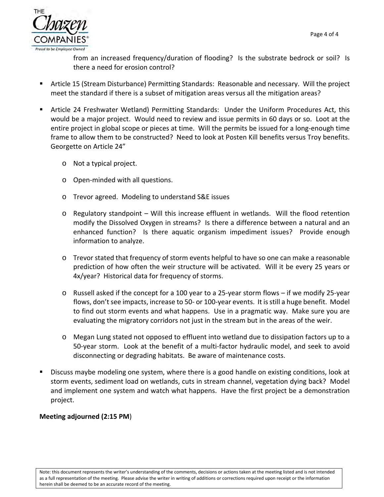

from an increased frequency/duration of flooding? Is the substrate bedrock or soil? Is there a need for erosion control?

- Article 15 (Stream Disturbance) Permitting Standards: Reasonable and necessary. Will the project meet the standard if there is a subset of mitigation areas versus all the mitigation areas?
- Article 24 Freshwater Wetland) Permitting Standards: Under the Uniform Procedures Act, this would be a major project. Would need to review and issue permits in 60 days or so. Loot at the entire project in global scope or pieces at time. Will the permits be issued for a long-enough time frame to allow them to be constructed? Need to look at Posten Kill benefits versus Troy benefits. Georgette on Article 24"
	- o Not a typical project.
	- o Open‐minded with all questions.
	- o Trevor agreed. Modeling to understand S&E issues
	- o Regulatory standpoint Will this increase effluent in wetlands. Will the flood retention modify the Dissolved Oxygen in streams? Is there a difference between a natural and an enhanced function? Is there aquatic organism impediment issues? Provide enough information to analyze.
	- o Trevor stated that frequency of storm events helpful to have so one can make a reasonable prediction of how often the weir structure will be activated. Will it be every 25 years or 4x/year? Historical data for frequency of storms.
	- o Russell asked if the concept for a 100 year to a 25‐year storm flows if we modify 25‐year flows, don't see impacts, increase to 50‐ or 100‐year events. It is still a huge benefit. Model to find out storm events and what happens. Use in a pragmatic way. Make sure you are evaluating the migratory corridors not just in the stream but in the areas of the weir.
	- o Megan Lung stated not opposed to effluent into wetland due to dissipation factors up to a 50‐year storm. Look at the benefit of a multi‐factor hydraulic model, and seek to avoid disconnecting or degrading habitats. Be aware of maintenance costs.
- Discuss maybe modeling one system, where there is a good handle on existing conditions, look at storm events, sediment load on wetlands, cuts in stream channel, vegetation dying back? Model and implement one system and watch what happens. Have the first project be a demonstration project.

## **Meeting adjourned (2:15 PM**)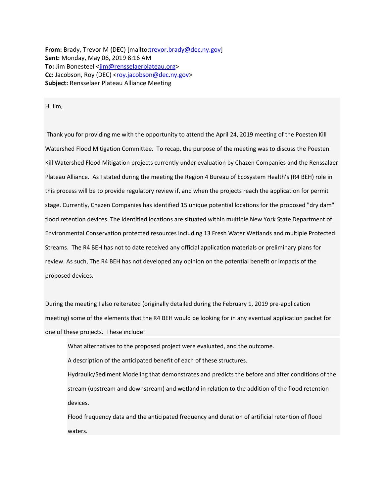**From:** Brady, Trevor M (DEC) [mailto:trevor.brady@dec.ny.gov] **Sent:** Monday, May 06, 2019 8:16 AM To: Jim Bonesteel <jim@rensselaerplateau.org> Cc: Jacobson, Roy (DEC) <roy.jacobson@dec.ny.gov> **Subject:** Rensselaer Plateau Alliance Meeting

Hi Jim,

 Thank you for providing me with the opportunity to attend the April 24, 2019 meeting of the Poesten Kill Watershed Flood Mitigation Committee. To recap, the purpose of the meeting was to discuss the Poesten Kill Watershed Flood Mitigation projects currently under evaluation by Chazen Companies and the Renssalaer Plateau Alliance. As I stated during the meeting the Region 4 Bureau of Ecosystem Health's (R4 BEH) role in this process will be to provide regulatory review if, and when the projects reach the application for permit stage. Currently, Chazen Companies has identified 15 unique potential locations for the proposed "dry dam" flood retention devices. The identified locations are situated within multiple New York State Department of Environmental Conservation protected resources including 13 Fresh Water Wetlands and multiple Protected Streams. The R4 BEH has not to date received any official application materials or preliminary plans for review. As such, The R4 BEH has not developed any opinion on the potential benefit or impacts of the proposed devices.

During the meeting I also reiterated (originally detailed during the February 1, 2019 pre‐application meeting) some of the elements that the R4 BEH would be looking for in any eventual application packet for one of these projects. These include:

What alternatives to the proposed project were evaluated, and the outcome.

A description of the anticipated benefit of each of these structures.

Hydraulic/Sediment Modeling that demonstrates and predicts the before and after conditions of the stream (upstream and downstream) and wetland in relation to the addition of the flood retention devices.

Flood frequency data and the anticipated frequency and duration of artificial retention of flood waters.